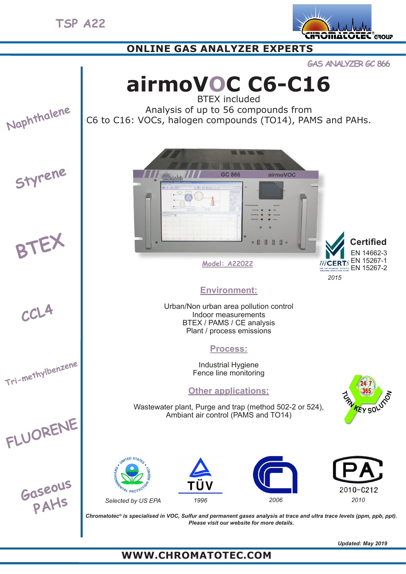**TSP A22**



# **ONLINE GAS ANALYZER EXPERTS**

**GAS ANALYZER GC 866**

**airmoVOC C6-C16** BTEX included

**Naphthalene**

Analysis of up to 56 compounds from C6 to C16: VOCs, halogen compounds (TO14), PAMS and PAHs.







**Tri-methylbenzene**







**Model: A22022**

#### *2015* EN 14662-3 *MCERTS* EN 15267-1 THE ENVIRONMENT AGENCY'S EN 15267-2 **Certified**

# **Environment:**

Urban/Non urban area pollution control Indoor measurements BTEX / PAMS / CE analysis Plant / process emissions

## **Process:**

Industrial Hygiene Fence line monitoring

# **Other applications:**

Wastewater plant, Purge and trap (method 502-2 or 524), Ambiant air control (PAMS and TO14)













*Chromatotec® is specialised in VOC, Sulfur and permanent gases analysis at trace and ultra trace levels (ppm, ppb, ppt). Please visit our website for more details.*

*Updated: May 2019*

# **WWW.CHROMATOTEC.COM**